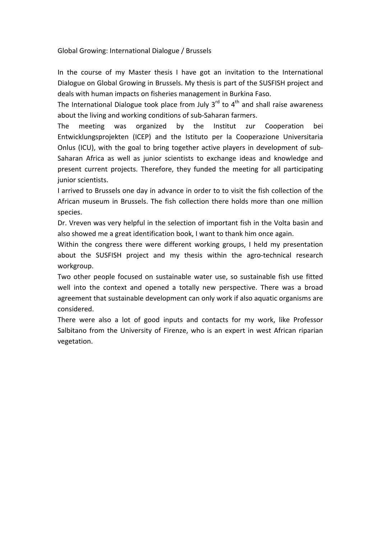Global Growing: International Dialogue / Brussels

In the course of my Master thesis I have got an invitation to the International Dialogue on Global Growing in Brussels. My thesis is part of the SUSFISH project and deals with human impacts on fisheries management in Burkina Faso.

The International Dialogue took place from July  $3^{rd}$  to  $4^{th}$  and shall raise awareness about the living and working conditions of sub‐Saharan farmers.

The meeting was organized by the Institut zur Cooperation bei Entwicklungsprojekten (ICEP) and the Istituto per la Cooperazione Universitaria Onlus (ICU), with the goal to bring together active players in development of sub‐ Saharan Africa as well as junior scientists to exchange ideas and knowledge and present current projects. Therefore, they funded the meeting for all participating junior scientists.

I arrived to Brussels one day in advance in order to to visit the fish collection of the African museum in Brussels. The fish collection there holds more than one million species.

Dr. Vreven was very helpful in the selection of important fish in the Volta basin and also showed me a great identification book, I want to thank him once again.

Within the congress there were different working groups, I held my presentation about the SUSFISH project and my thesis within the agro-technical research workgroup.

Two other people focused on sustainable water use, so sustainable fish use fitted well into the context and opened a totally new perspective. There was a broad agreement that sustainable development can only work if also aquatic organisms are considered.

There were also a lot of good inputs and contacts for my work, like Professor Salbitano from the University of Firenze, who is an expert in west African riparian vegetation.